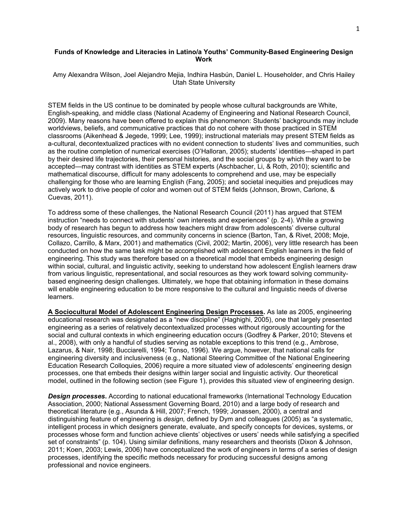#### **Funds of Knowledge and Literacies in Latino/a Youths' Community-Based Engineering Design Work**

Amy Alexandra Wilson, Joel Alejandro Mejia, Indhira Hasbún, Daniel L. Householder, and Chris Hailey Utah State University

STEM fields in the US continue to be dominated by people whose cultural backgrounds are White, English-speaking, and middle class (National Academy of Engineering and National Research Council, 2009). Many reasons have been offered to explain this phenomenon: Students' backgrounds may include worldviews, beliefs, and communicative practices that do not cohere with those practiced in STEM classrooms (Aikenhead & Jegede, 1999; Lee, 1999); instructional materials may present STEM fields as a-cultural, decontextualized practices with no evident connection to students' lives and communities, such as the routine completion of numerical exercises (O'Halloran, 2005); students' identities—shaped in part by their desired life trajectories, their personal histories, and the social groups by which they want to be accepted—may contrast with identities as STEM experts (Aschbacher, Li, & Roth, 2010); scientific and mathematical discourse, difficult for many adolescents to comprehend and use, may be especially challenging for those who are learning English (Fang, 2005); and societal inequities and prejudices may actively work to drive people of color and women out of STEM fields (Johnson, Brown, Carlone, & Cuevas, 2011).

To address some of these challenges, the National Research Council (2011) has argued that STEM instruction "needs to connect with students' own interests and experiences" (p. 2-4). While a growing body of research has begun to address how teachers might draw from adolescents' diverse cultural resources, linguistic resources, and community concerns in science (Barton, Tan, & Rivet, 2008; Moje, Collazo, Carrillo, & Marx, 2001) and mathematics (Civil, 2002; Martin, 2006), very little research has been conducted on how the same task might be accomplished with adolescent English learners in the field of engineering. This study was therefore based on a theoretical model that embeds engineering design within social, cultural, and linguistic activity, seeking to understand how adolescent English learners draw from various linguistic, representational, and social resources as they work toward solving communitybased engineering design challenges. Ultimately, we hope that obtaining information in these domains will enable engineering education to be more responsive to the cultural and linguistic needs of diverse learners.

**A Sociocultural Model of Adolescent Engineering Design Processes.** As late as 2005, engineering educational research was designated as a "new discipline" (Haghighi, 2005), one that largely presented engineering as a series of relatively decontextualized processes without rigorously accounting for the social and cultural contexts in which engineering education occurs (Godfrey & Parker, 2010; Stevens et al., 2008), with only a handful of studies serving as notable exceptions to this trend (e.g., Ambrose, Lazarus, & Nair, 1998; Bucciarelli, 1994; Tonso, 1996). We argue, however, that national calls for engineering diversity and inclusiveness (e.g., National Steering Committee of the National Engineering Education Research Colloquies, 2006) require a more situated view of adolescents' engineering design processes, one that embeds their designs within larger social and linguistic activity. Our theoretical model, outlined in the following section (see Figure 1), provides this situated view of engineering design.

*Design processes***.** According to national educational frameworks (International Technology Education Association, 2000; National Assessment Governing Board, 2010) and a large body of research and theoretical literature (e.g., Asunda & Hill, 2007; French, 1999; Jonassen, 2000), a central and distinguishing feature of engineering is *design,* defined by Dym and colleagues (2005) as "a systematic, intelligent process in which designers generate, evaluate, and specify concepts for devices, systems, or processes whose form and function achieve clients' objectives or users' needs while satisfying a specified set of constraints" (p. 104). Using similar definitions, many researchers and theorists (Dixon & Johnson, 2011; Koen, 2003; Lewis, 2006) have conceptualized the work of engineers in terms of a series of design processes, identifying the specific methods necessary for producing successful designs among professional and novice engineers.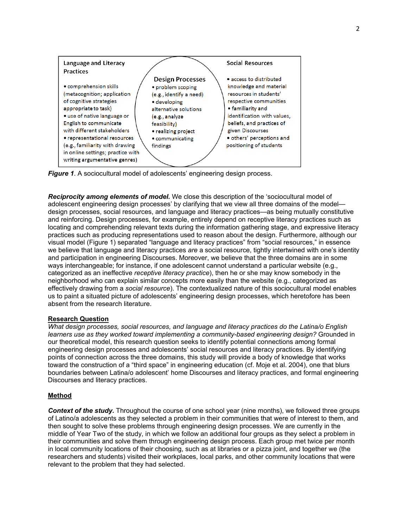

*Figure 1*. A sociocultural model of adolescents' engineering design process.

*Reciprocity among elements of model.* We close this description of the 'sociocultural model of adolescent engineering design processes' by clarifying that we view all three domains of the model design processes, social resources, and language and literacy practices—as being mutually constitutive and reinforcing. Design processes, for example, entirely depend on receptive literacy practices such as locating and comprehending relevant texts during the information gathering stage, and expressive literacy practices such as producing representations used to reason about the design. Furthermore, although our visual model (Figure 1) separated "language and literacy practices" from "social resources," in essence we believe that language and literacy practices *are* a social resource, tightly intertwined with one's identity and participation in engineering Discourses. Moreover, we believe that the three domains are in some ways interchangeable; for instance, if one adolescent cannot understand a particular website (e.g., categorized as an ineffective *receptive literacy practice*), then he or she may know somebody in the neighborhood who can explain similar concepts more easily than the website (e.g., categorized as effectively drawing from a *social resource*). The contextualized nature of this sociocultural model enables us to paint a situated picture of adolescents' engineering design processes, which heretofore has been absent from the research literature.

# **Research Question**

*What design processes, social resources, and language and literacy practices do the Latina/o English learners use as they worked toward implementing a community-based engineering design?* Grounded in our theoretical model, this research question seeks to identify potential connections among formal engineering design processes and adolescents' social resources and literacy practices. By identifying points of connection across the three domains, this study will provide a body of knowledge that works toward the construction of a "third space" in engineering education (cf. Moje et al. 2004), one that blurs boundaries between Latina/o adolescent' home Discourses and literacy practices, and formal engineering Discourses and literacy practices.

# **Method**

**Context of the study.** Throughout the course of one school year (nine months), we followed three groups of Latino/a adolescents as they selected a problem in their communities that were of interest to them, and then sought to solve these problems through engineering design processes. We are currently in the middle of Year Two of the study, in which we follow an additional four groups as they select a problem in their communities and solve them through engineering design process. Each group met twice per month in local community locations of their choosing, such as at libraries or a pizza joint, and together we (the researchers and students) visited their workplaces, local parks, and other community locations that were relevant to the problem that they had selected.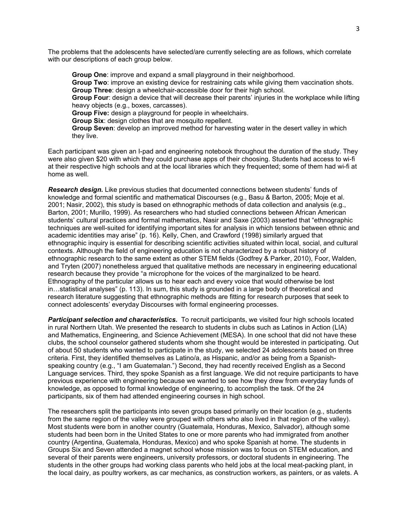The problems that the adolescents have selected/are currently selecting are as follows, which correlate with our descriptions of each group below.

**Group One**: improve and expand a small playground in their neighborhood. **Group Two**: improve an existing device for restraining cats while giving them vaccination shots. **Group Three**: design a wheelchair-accessible door for their high school. **Group Four**: design a device that will decrease their parents' injuries in the workplace while lifting heavy objects (e.g., boxes, carcasses). **Group Five:** design a playground for people in wheelchairs. **Group Six**: design clothes that are mosquito repellent. **Group Seven**: develop an improved method for harvesting water in the desert valley in which they live.

Each participant was given an I-pad and engineering notebook throughout the duration of the study. They were also given \$20 with which they could purchase apps of their choosing. Students had access to wi-fi at their respective high schools and at the local libraries which they frequented; some of them had wi-fi at home as well.

*Research design.* Like previous studies that documented connections between students' funds of knowledge and formal scientific and mathematical Discourses (e.g., Basu & Barton, 2005; Moje et al. 2001; Nasir, 2002), this study is based on ethnographic methods of data collection and analysis (e.g., Barton, 2001; Murillo, 1999). As researchers who had studied connections between African American students' cultural practices and formal mathematics, Nasir and Saxe (2003) asserted that "ethnographic techniques are well-suited for identifying important sites for analysis in which tensions between ethnic and academic identities may arise" (p. 16). Kelly, Chen, and Crawford (1998) similarly argued that ethnographic inquiry is essential for describing scientific activities situated within local, social, and cultural contexts. Although the field of engineering education is not characterized by a robust history of ethnographic research to the same extent as other STEM fields (Godfrey & Parker, 2010), Foor, Walden, and Tryten (2007) nonetheless argued that qualitative methods are necessary in engineering educational research because they provide "a microphone for the voices of the marginalized to be heard. Ethnography of the particular allows us to hear each and every voice that would otherwise be lost in…statistical analyses" (p. 113). In sum, this study is grounded in a large body of theoretical and research literature suggesting that ethnographic methods are fitting for research purposes that seek to connect adolescents' everyday Discourses with formal engineering processes.

*Participant selection and characteristics***.** To recruit participants, we visited four high schools located in rural Northern Utah. We presented the research to students in clubs such as Latinos in Action (LIA) and Mathematics, Engineering, and Science Achievement (MESA). In one school that did not have these clubs, the school counselor gathered students whom she thought would be interested in participating. Out of about 50 students who wanted to participate in the study, we selected 24 adolescents based on three criteria. First, they identified themselves as Latino/a, as Hispanic, and/or as being from a Spanishspeaking country (e.g., "I am Guatemalan.") Second, they had recently received English as a Second Language services. Third, they spoke Spanish as a first language. We did not require participants to have previous experience with engineering because we wanted to see how they drew from everyday funds of knowledge, as opposed to formal knowledge of engineering, to accomplish the task. Of the 24 participants, six of them had attended engineering courses in high school.

The researchers split the participants into seven groups based primarily on their location (e.g., students from the same region of the valley were grouped with others who also lived in that region of the valley). Most students were born in another country (Guatemala, Honduras, Mexico, Salvador), although some students had been born in the United States to one or more parents who had immigrated from another country (Argentina, Guatemala, Honduras, Mexico) and who spoke Spanish at home. The students in Groups Six and Seven attended a magnet school whose mission was to focus on STEM education, and several of their parents were engineers, university professors, or doctoral students in engineering. The students in the other groups had working class parents who held jobs at the local meat-packing plant, in the local dairy, as poultry workers, as car mechanics, as construction workers, as painters, or as valets. A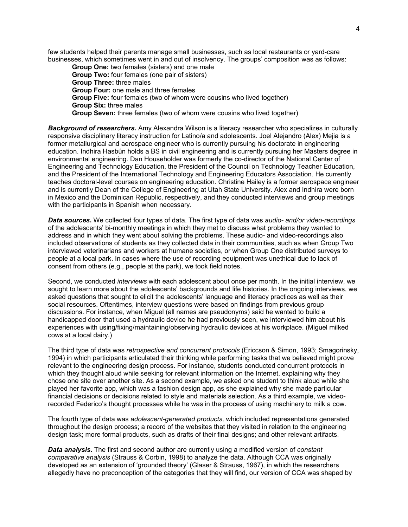few students helped their parents manage small businesses, such as local restaurants or yard-care businesses, which sometimes went in and out of insolvency. The groups' composition was as follows:

**Group One:** two females (sisters) and one male **Group Two:** four females (one pair of sisters) **Group Three:** three males **Group Four:** one male and three females **Group Five:** four females (two of whom were cousins who lived together) **Group Six:** three males **Group Seven:** three females (two of whom were cousins who lived together)

*Background of researchers.* Amy Alexandra Wilson is a literacy researcher who specializes in culturally responsive disciplinary literacy instruction for Latino/a and adolescents. Joel Alejandro (Alex) Mejia is a former metallurgical and aerospace engineer who is currently pursuing his doctorate in engineering education. Indhira Hasbún holds a BS in civil engineering and is currently pursuing her Masters degree in environmental engineering. Dan Householder was formerly the co-director of the National Center of Engineering and Technology Education, the President of the Council on Technology Teacher Education, and the President of the International Technology and Engineering Educators Association. He currently teaches doctoral-level courses on engineering education. Christine Hailey is a former aerospace engineer and is currently Dean of the College of Engineering at Utah State University. Alex and Indhira were born in Mexico and the Dominican Republic, respectively, and they conducted interviews and group meetings with the participants in Spanish when necessary.

*Data sources***.** We collected four types of data. The first type of data was *audio- and/or video-recordings* of the adolescents' bi-monthly meetings in which they met to discuss what problems they wanted to address and in which they went about solving the problems. These audio- and video-recordings also included observations of students as they collected data in their communities, such as when Group Two interviewed veterinarians and workers at humane societies, or when Group One distributed surveys to people at a local park. In cases where the use of recording equipment was unethical due to lack of consent from others (e.g., people at the park), we took field notes.

Second, we conducted *interviews* with each adolescent about once per month. In the initial interview, we sought to learn more about the adolescents' backgrounds and life histories. In the ongoing interviews, we asked questions that sought to elicit the adolescents' language and literacy practices as well as their social resources. Oftentimes, interview questions were based on findings from previous group discussions. For instance, when Miguel (all names are pseudonyms) said he wanted to build a handicapped door that used a hydraulic device he had previously seen, we interviewed him about his experiences with using/fixing/maintaining/observing hydraulic devices at his workplace. (Miguel milked cows at a local dairy.)

The third type of data was *retrospective and concurrent protocols* (Ericcson & Simon, 1993; Smagorinsky, 1994) in which participants articulated their thinking while performing tasks that we believed might prove relevant to the engineering design process. For instance, students conducted concurrent protocols in which they thought aloud while seeking for relevant information on the Internet, explaining why they chose one site over another site. As a second example, we asked one student to think aloud while she played her favorite app, which was a fashion design app, as she explained why she made particular financial decisions or decisions related to style and materials selection. As a third example, we videorecorded Federico's thought processes while he was in the process of using machinery to milk a cow.

The fourth type of data was *adolescent-generated products,* which included representations generated throughout the design process; a record of the websites that they visited in relation to the engineering design task; more formal products, such as drafts of their final designs; and other relevant artifacts.

*Data analysis***.** The first and second author are currently using a modified version of *constant comparative analysis* (Strauss & Corbin, 1998) to analyze the data. Although CCA was originally developed as an extension of 'grounded theory' (Glaser & Strauss, 1967), in which the researchers allegedly have no preconception of the categories that they will find, our version of CCA was shaped by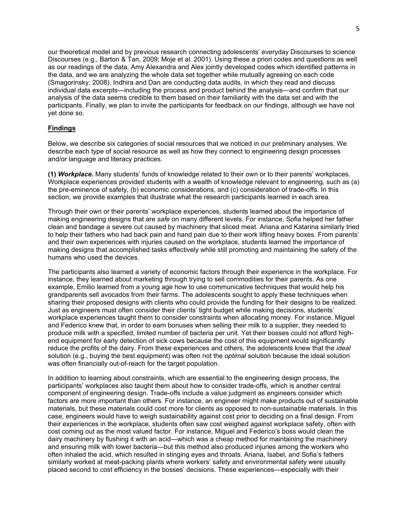our theoretical model and by previous research connecting adolescents' everyday Discourses to science Discourses (e.g., Barton & Tan, 2009; Moje et al. 2001). Using these a priori codes and questions as well as our readings of the data, Amy Alexandra and Alex jointly developed codes which identified patterns in the data, and we are analyzing the whole data set together while mutually agreeing on each code (Smagorinsky, 2008). Indhira and Dan are conducting data audits, in which they read and discuss individual data excerpts—including the process and product behind the analysis—and confirm that our analysis of the data seems credible to them based on their familiarity with the data set and with the participants. Finally, we plan to invite the participants for feedback on our findings, although we have not yet done so.

# **Findings**

Below, we describe six categories of social resources that we noticed in our preliminary analyses. We describe each type of social resource as well as how they connect to engineering design processes and/or language and literacy practices.

**(1)** *Workplace***.** Many students' funds of knowledge related to their own or to their parents' workplaces. Workplace experiences provided students with a wealth of knowledge relevant to engineering, such as (a) the pre-eminence of safety, (b) economic considerations, and (c) consideration of trade-offs. In this section, we provide examples that illustrate what the research participants learned in each area.

Through their own or their parents' workplace experiences, students learned about the importance of making engineering designs that are *safe* on many different levels. For instance, Sofia helped her father clean and bandage a severe cut caused by machinery that sliced meat. Ariana and Katarina similarly tried to help their fathers who had back pain and hand pain due to their work lifting heavy boxes. From parents' and their own experiences with injuries caused on the workplace, students learned the importance of making designs that accomplished tasks effectively while still promoting and maintaining the safety of the humans who used the devices.

The participants also learned a variety of economic factors through their experience in the workplace. For instance, they learned about marketing through trying to sell commodities for their parents. As one example, Emilio learned from a young age how to use communicative techniques that would help his grandparents sell avocados from their farms. The adolescents sought to apply these techniques when sharing their proposed designs with clients who could provide the funding for their designs to be realized. Just as engineers must often consider their clients' tight budget while making decisions, students' workplace experiences taught them to consider constraints when allocating money. For instance, Miguel and Federico knew that, in order to earn bonuses when selling their milk to a supplier, they needed to produce milk with a specified, limited number of bacteria per unit. Yet their bosses could not afford highend equipment for early detection of sick cows because the cost of this equipment would significantly reduce the profits of the dairy. From these experiences and others, the adolescents knew that the *ideal* solution (e.g., buying the best equipment) was often not the *optimal* solution because the ideal solution was often financially out-of-reach for the target population.

In addition to learning about constraints, which are essential to the engineering design process, the participants' workplaces also taught them about how to consider trade-offs, which is another central component of engineering design. Trade-offs include a value judgment as engineers consider which factors are more important than others. For instance, an engineer might make products out of sustainable materials, but these materials could cost more for clients as opposed to non-sustainable materials. In this case, engineers would have to weigh sustainability against cost prior to deciding on a final design. From their experiences in the workplace, students often saw cost weighed against workplace safety, often with cost coming out as the most valued factor. For instance, Miguel and Federico's boss would clean the dairy machinery by flushing it with an acid—which was a cheap method for maintaining the machinery and ensuring milk with lower bacteria—but this method also produced injuries among the workers who often inhaled the acid, which resulted in stinging eyes and throats. Ariana, Isabel, and Sofia's fathers similarly worked at meat-packing plants where workers' safety and environmental safety were usually placed second to cost efficiency in the bosses' decisions. These experiences—especially with their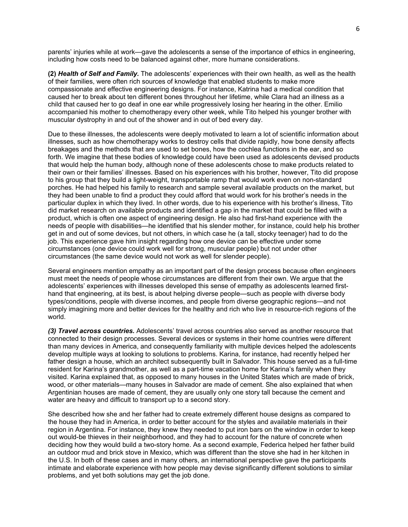parents' injuries while at work—gave the adolescents a sense of the importance of ethics in engineering, including how costs need to be balanced against other, more humane considerations.

**(2)** *Health of Self and Family.* The adolescents' experiences with their own health, as well as the health of their families, were often rich sources of knowledge that enabled students to make more compassionate and effective engineering designs. For instance, Katrina had a medical condition that caused her to break about ten different bones throughout her lifetime, while Clara had an illness as a child that caused her to go deaf in one ear while progressively losing her hearing in the other. Emilio accompanied his mother to chemotherapy every other week, while Tito helped his younger brother with muscular dystrophy in and out of the shower and in out of bed every day.

Due to these illnesses, the adolescents were deeply motivated to learn a lot of scientific information about illnesses, such as how chemotherapy works to destroy cells that divide rapidly, how bone density affects breakages and the methods that are used to set bones, how the cochlea functions in the ear, and so forth. We imagine that these bodies of knowledge could have been used as adolescents devised products that would help the human body, although none of these adolescents chose to make products related to their own or their families' illnesses. Based on his experiences with his brother, however, Tito did propose to his group that they build a light-weight, transportable ramp that would work even on non-standard porches. He had helped his family to research and sample several available products on the market, but they had been unable to find a product they could afford that would work for his brother's needs in the particular duplex in which they lived. In other words, due to his experience with his brother's illness, Tito did market research on available products and identified a gap in the market that could be filled with a product, which is often one aspect of engineering design. He also had first-hand experience with the needs of people with disabilities—he identified that his slender mother, for instance, could help his brother get in and out of some devices, but not others, in which case he (a tall, stocky teenager) had to do the job. This experience gave him insight regarding how one device can be effective under some circumstances (one device could work well for strong, muscular people) but not under other circumstances (the same device would not work as well for slender people).

Several engineers mention empathy as an important part of the design process because often engineers must meet the needs of people whose circumstances are different from their own. We argue that the adolescents' experiences with illnesses developed this sense of empathy as adolescents learned firsthand that engineering, at its best, is about helping diverse people—such as people with diverse body types/conditions, people with diverse incomes, and people from diverse geographic regions—and not simply imagining more and better devices for the healthy and rich who live in resource-rich regions of the world.

*(3) Travel across countries.* Adolescents' travel across countries also served as another resource that connected to their design processes. Several devices or systems in their home countries were different than many devices in America, and consequently familiarity with multiple devices helped the adolescents develop multiple ways at looking to solutions to problems. Karina, for instance, had recently helped her father design a house, which an architect subsequently built in Salvador. This house served as a full-time resident for Karina's grandmother, as well as a part-time vacation home for Karina's family when they visited. Karina explained that, as opposed to many houses in the United States which are made of brick, wood, or other materials—many houses in Salvador are made of cement. She also explained that when Argentinian houses are made of cement, they are usually only one story tall because the cement and water are heavy and difficult to transport up to a second story.

She described how she and her father had to create extremely different house designs as compared to the house they had in America, in order to better account for the styles and available materials in their region in Argentina. For instance, they knew they needed to put iron bars on the window in order to keep out would-be thieves in their neighborhood, and they had to account for the nature of concrete when deciding how they would build a two-story home. As a second example, Federica helped her father build an outdoor mud and brick stove in Mexico, which was different than the stove she had in her kitchen in the U.S. In both of these cases and in many others, an international perspective gave the participants intimate and elaborate experience with how people may devise significantly different solutions to similar problems, and yet both solutions may get the job done.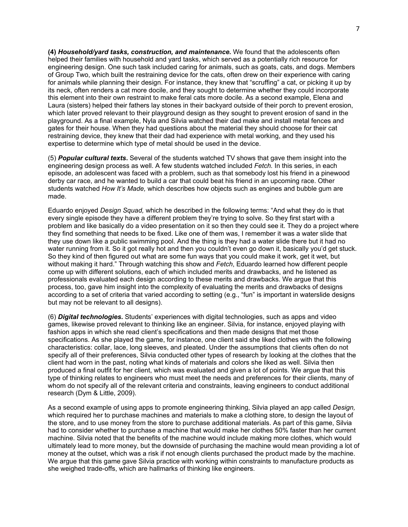**(4)** *Household/yard tasks, construction, and maintenance.* We found that the adolescents often helped their families with household and yard tasks, which served as a potentially rich resource for engineering design. One such task included caring for animals, such as goats, cats, and dogs. Members of Group Two, which built the restraining device for the cats, often drew on their experience with caring for animals while planning their design. For instance, they knew that "scruffing" a cat, or picking it up by its neck, often renders a cat more docile, and they sought to determine whether they could incorporate this element into their own restraint to make feral cats more docile. As a second example, Elena and Laura (sisters) helped their fathers lay stones in their backyard outside of their porch to prevent erosion, which later proved relevant to their playground design as they sought to prevent erosion of sand in the playground. As a final example, Nyla and Silvia watched their dad make and install metal fences and gates for their house. When they had questions about the material they should choose for their cat restraining device, they knew that their dad had experience with metal working, and they used his expertise to determine which type of metal should be used in the device.

(5) *Popular cultural texts***.** Several of the students watched TV shows that gave them insight into the engineering design process as well. A few students watched included *Fetch.* In this series, in each episode, an adolescent was faced with a problem, such as that somebody lost his friend in a pinewood derby car race, and he wanted to build a car that could beat his friend in an upcoming race. Other students watched *How It's Made,* which describes how objects such as engines and bubble gum are made.

Eduardo enjoyed *Design Squad,* which he described in the following terms: "And what they do is that every single episode they have a different problem they're trying to solve. So they first start with a problem and like basically do a video presentation on it so then they could see it. They do a project where they find something that needs to be fixed. Like one of them was, I remember it was a water slide that they use down like a public swimming pool. And the thing is they had a water slide there but it had no water running from it. So it got really hot and then you couldn't even go down it, basically you'd get stuck. So they kind of then figured out what are some fun ways that you could make it work, get it wet, but without making it hard." Through watching this show and *Fetch*, Eduardo learned how different people come up with different solutions, each of which included merits and drawbacks, and he listened as professionals evaluated each design according to these merits and drawbacks. We argue that this process, too, gave him insight into the complexity of evaluating the merits and drawbacks of designs according to a set of criteria that varied according to setting (e.g., "fun" is important in waterslide designs but may not be relevant to all designs).

(6) *Digital technologies.* Students' experiences with digital technologies, such as apps and video games, likewise proved relevant to thinking like an engineer. Silvia, for instance, enjoyed playing with fashion apps in which she read client's specifications and then made designs that met those specifications. As she played the game, for instance, one client said she liked clothes with the following characteristics: collar, lace, long sleeves, and pleated. Under the assumptions that clients often do not specify all of their preferences, Silvia conducted other types of research by looking at the clothes that the client had worn in the past, noting what kinds of materials and colors she liked as well. Silvia then produced a final outfit for her client, which was evaluated and given a lot of points. We argue that this type of thinking relates to engineers who must meet the needs and preferences for their clients, many of whom do not specify all of the relevant criteria and constraints, leaving engineers to conduct additional research (Dym & Little, 2009).

As a second example of using apps to promote engineering thinking, Silvia played an app called *Design,*  which required her to purchase machines and materials to make a clothing store, to design the layout of the store, and to use money from the store to purchase additional materials. As part of this game, Silvia had to consider whether to purchase a machine that would make her clothes 50% faster than her current machine. Silvia noted that the benefits of the machine would include making more clothes, which would ultimately lead to more money, but the downside of purchasing the machine would mean providing a lot of money at the outset, which was a risk if not enough clients purchased the product made by the machine. We argue that this game gave Silvia practice with working within constraints to manufacture products as she weighed trade-offs, which are hallmarks of thinking like engineers.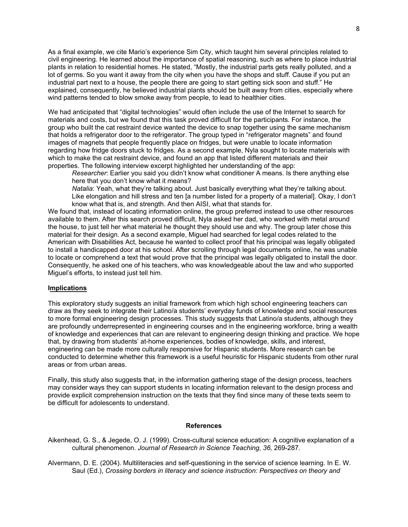As a final example, we cite Mario's experience Sim City, which taught him several principles related to civil engineering. He learned about the importance of spatial reasoning, such as where to place industrial plants in relation to residential homes. He stated, "Mostly, the industrial parts gets really polluted, and a lot of germs. So you want it away from the city when you have the shops and stuff. Cause if you put an industrial part next to a house, the people there are going to start getting sick soon and stuff." He explained, consequently, he believed industrial plants should be built away from cities, especially where wind patterns tended to blow smoke away from people, to lead to healthier cities.

We had anticipated that "digital technologies" would often include the use of the Internet to search for materials and costs, but we found that this task proved difficult for the participants. For instance, the group who built the cat restraint device wanted the device to snap together using the same mechanism that holds a refrigerator door to the refrigerator. The group typed in "refrigerator magnets" and found images of magnets that people frequently place on fridges, but were unable to locate information regarding how fridge doors stuck to fridges. As a second example, Nyla sought to locate materials with which to make the cat restraint device, and found an app that listed different materials and their properties. The following interview excerpt highlighted her understanding of the app:

*Researcher*: Earlier you said you didn't know what conditioner A means. Is there anything else here that you don't know what it means?

*Natalia*: Yeah, what they're talking about. Just basically everything what they're talking about. Like elongation and hill stress and ten [a number listed for a property of a material]. Okay, I don't know what that is, and strength. And then AISI, what that stands for.

We found that, instead of locating information online, the group preferred instead to use other resources available to them. After this search proved difficult, Nyla asked her dad, who worked with metal around the house, to just tell her what material he thought they should use and why. The group later chose this material for their design. As a second example, Miguel had searched for legal codes related to the American with Disabilities Act, because he wanted to collect proof that his principal was legally obligated to install a handicapped door at his school. After scrolling through legal documents online, he was unable to locate or comprehend a text that would prove that the principal was legally obligated to install the door. Consequently, he asked one of his teachers, who was knowledgeable about the law and who supported Miguel's efforts, to instead just tell him.

#### **Implications**

This exploratory study suggests an initial framework from which high school engineering teachers can draw as they seek to integrate their Latino/a students' everyday funds of knowledge and social resources to more formal engineering design processes. This study suggests that Latino/a students, although they are profoundly underrepresented in engineering courses and in the engineering workforce, bring a wealth of knowledge and experiences that can are relevant to engineering design thinking and practice. We hope that, by drawing from students' at-home experiences, bodies of knowledge, skills, and interest, engineering can be made more culturally responsive for Hispanic students. More research can be conducted to determine whether this framework is a useful heuristic for Hispanic students from other rural areas or from urban areas.

Finally, this study also suggests that, in the information gathering stage of the design process, teachers may consider ways they can support students in locating information relevant to the design process and provide explicit comprehension instruction on the texts that they find since many of these texts seem to be difficult for adolescents to understand.

#### **References**

Aikenhead, G. S., & Jegede, O. J. (1999). Cross-cultural science education: A cognitive explanation of a cultural phenomenon. *Journal of Research in Science Teaching, 36,* 269-287.

Alvermann, D. E. (2004). Multiliteracies and self-questioning in the service of science learning. In E. W. Saul (Ed.), *Crossing borders in literacy and science instruction: Perspectives on theory and*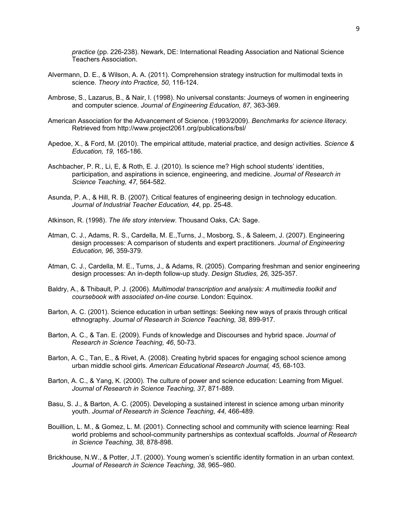*practice* (pp. 226-238). Newark, DE: International Reading Association and National Science Teachers Association.

- Alvermann, D. E., & Wilson, A. A. (2011). Comprehension strategy instruction for multimodal texts in science. *Theory into Practice, 50,* 116-124.
- Ambrose, S., Lazarus, B., & Nair, I. (1998). No universal constants: Journeys of women in engineering and computer science. *Journal of Engineering Education, 87,* 363-369.
- American Association for the Advancement of Science. (1993/2009). *Benchmarks for science literacy.*  Retrieved from http://www.project2061.org/publications/bsl/
- Apedoe, X., & Ford, M. (2010). The empirical attitude, material practice, and design activities. *Science & Education, 19,* 165-186.
- Aschbacher, P. R., Li, E, & Roth, E. J. (2010). Is science me? High school students' identities, participation, and aspirations in science, engineering, and medicine. *Journal of Research in Science Teaching, 47,* 564-582.
- Asunda, P. A., & Hill, R. B. (2007). Critical features of engineering design in technology education. *Journal of Industrial Teacher Education, 44*, pp. 25-48.
- Atkinson, R. (1998). *The life story interview.* Thousand Oaks, CA: Sage.
- Atman, C. J., Adams, R. S., Cardella, M. E.,Turns, J., Mosborg, S., & Saleem, J. (2007). Engineering design processes: A comparison of students and expert practitioners. *Journal of Engineering Education, 96*, 359-379.
- Atman, C. J., Cardella, M. E., Turns, J., & Adams, R. (2005). Comparing freshman and senior engineering design processes: An in-depth follow-up study. *Design Studies, 26,* 325-357.
- Baldry, A., & Thibault, P. J. (2006). *Multimodal transcription and analysis: A multimedia toolkit and coursebook with associated on-line course.* London: Equinox.
- Barton, A. C. (2001). Science education in urban settings: Seeking new ways of praxis through critical ethnography. *Journal of Research in Science Teaching, 38,* 899-917.
- Barton, A. C., & Tan. E. (2009). Funds of knowledge and Discourses and hybrid space. *Journal of Research in Science Teaching, 46*, 50-73.
- Barton, A. C., Tan, E., & Rivet, A. (2008). Creating hybrid spaces for engaging school science among urban middle school girls. *American Educational Research Journal, 45,* 68-103.
- Barton, A. C., & Yang, K. (2000). The culture of power and science education: Learning from Miguel. *Journal of Research in Science Teaching, 37,* 871-889.
- Basu, S. J., & Barton, A. C. (2005). Developing a sustained interest in science among urban minority youth. *Journal of Research in Science Teaching, 44,* 466-489.
- Bouillion, L. M., & Gomez, L. M. (2001). Connecting school and community with science learning: Real world problems and school-community partnerships as contextual scaffolds. *Journal of Research in Science Teaching, 38,* 878-898.
- Brickhouse, N.W., & Potter, J.T. (2000). Young women's scientific identity formation in an urban context. *Journal of Research in Science Teaching, 38,* 965–980.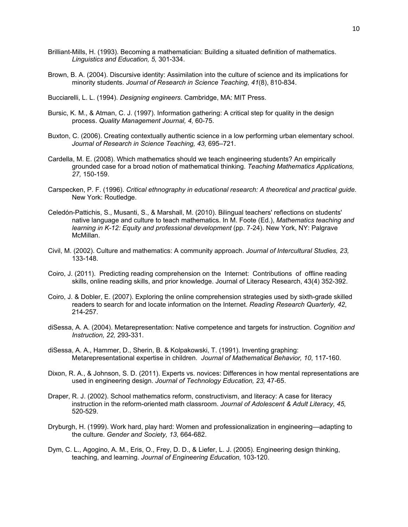- Brilliant-Mills, H. (1993). Becoming a mathematician: Building a situated definition of mathematics. *Linguistics and Education, 5,* 301-334.
- Brown, B. A. (2004). Discursive identity: Assimilation into the culture of science and its implications for minority students. *Journal of Research in Science Teaching, 41*(8), 810-834.
- Bucciarelli, L. L. (1994). *Designing engineers.* Cambridge, MA: MIT Press.
- Bursic, K. M., & Atman, C. J. (1997). Information gathering: A critical step for quality in the design process. *Quality Management Journal, 4,* 60-75.
- Buxton, C. (2006). Creating contextually authentic science in a low performing urban elementary school. *Journal of Research in Science Teaching, 43,* 695–721.
- Cardella, M. E. (2008). Which mathematics should we teach engineering students? An empirically grounded case for a broad notion of mathematical thinking. *Teaching Mathematics Applications, 27,* 150-159.
- Carspecken, P. F. (1996). *Critical ethnography in educational research: A theoretical and practical guide.*  New York: Routledge.
- Celedón-Pattichis, S., Musanti, S., & Marshall, M. (2010). Bilingual teachers' reflections on students' native language and culture to teach mathematics. In M. Foote (Ed.), *Mathematics teaching and*  learning in K-12: Equity and professional development (pp. 7-24). New York, NY: Palgrave McMillan.
- Civil, M. (2002). Culture and mathematics: A community approach. *Journal of Intercultural Studies, 23,*  133-148.
- Coiro, J. (2011). Predicting reading comprehension on the Internet: Contributions of offline reading skills, online reading skills, and prior knowledge. Journal of Literacy Research, 43(4) 352-392.
- Coiro, J. & Dobler, E. (2007). Exploring the online comprehension strategies used by sixth-grade skilled readers to search for and locate information on the Internet. *Reading Research Quarterly, 42*, 214-257.
- diSessa, A. A. (2004). Metarepresentation: Native competence and targets for instruction. *Cognition and Instruction, 22,* 293-331.
- diSessa, A. A., Hammer, D., Sherin, B. & Kolpakowski, T. (1991). Inventing graphing: Metarepresentational expertise in children. *Journal of Mathematical Behavior, 10*, 117-160.
- Dixon, R. A., & Johnson, S. D. (2011). Experts vs. novices: Differences in how mental representations are used in engineering design. *Journal of Technology Education, 23,* 47-65.
- Draper, R. J. (2002). School mathematics reform, constructivism, and literacy: A case for literacy instruction in the reform-oriented math classroom. *Journal of Adolescent & Adult Literacy, 45,* 520-529.
- Dryburgh, H. (1999). Work hard, play hard: Women and professionalization in engineering—adapting to the culture. *Gender and Society, 13,* 664-682.
- Dym, C. L., Agogino, A. M., Eris, O., Frey, D. D., & Liefer, L. J. (2005). Engineering design thinking, teaching, and learning. *Journal of Engineering Education,* 103-120.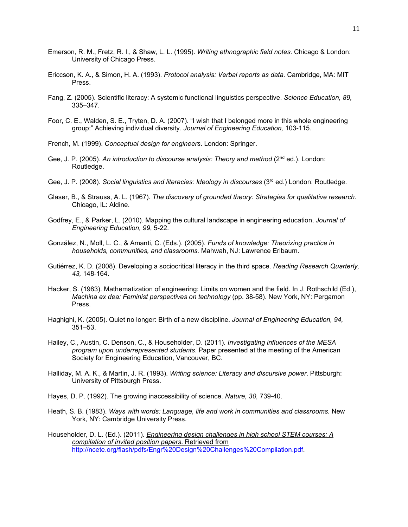- Emerson, R. M., Fretz, R. I., & Shaw, L. L. (1995). *Writing ethnographic field notes.* Chicago & London: University of Chicago Press.
- Ericcson, K. A., & Simon, H. A. (1993). *Protocol analysis: Verbal reports as data.* Cambridge, MA: MIT Press.
- Fang, Z. (2005). Scientific literacy: A systemic functional linguistics perspective. *Science Education, 89,*  335–347.
- Foor, C. E., Walden, S. E., Tryten, D. A. (2007). "I wish that I belonged more in this whole engineering group:" Achieving individual diversity. *Journal of Engineering Education,* 103-115.
- French, M. (1999). *Conceptual design for engineers*. London: Springer.
- Gee, J. P. (2005). An introduction to discourse analysis: Theory and method (2<sup>nd</sup> ed.). London: Routledge.
- Gee, J. P. (2008). *Social linguistics and literacies: Ideology in discourses* (3<sup>rd</sup> ed.) London: Routledge.
- Glaser, B., & Strauss, A. L. (1967). *The discovery of grounded theory: Strategies for qualitative research.* Chicago, IL: Aldine.
- Godfrey, E., & Parker, L. (2010). Mapping the cultural landscape in engineering education, *Journal of Engineering Education, 99*, 5-22.
- González, N., Moll, L. C., & Amanti, C. (Eds.). (2005). *Funds of knowledge: Theorizing practice in households, communities, and classrooms.* Mahwah, NJ: Lawrence Erlbaum.
- Gutiérrez, K. D. (2008). Developing a sociocritical literacy in the third space. *Reading Research Quarterly, 43,* 148-164.
- Hacker, S. (1983). Mathematization of engineering: Limits on women and the field. In J. Rothschild (Ed.), *Machina ex dea: Feminist perspectives on technology* (pp. 38-58). New York, NY: Pergamon Press.
- Haghighi, K. (2005). Quiet no longer: Birth of a new discipline. *Journal of Engineering Education, 94,* 351–53.
- Hailey, C., Austin, C. Denson, C., & Householder, D. (2011). *Investigating influences of the MESA program upon underrepresented students*. Paper presented at the meeting of the American Society for Engineering Education, Vancouver, BC.
- Halliday, M. A. K., & Martin, J. R. (1993). *Writing science: Literacy and discursive power*. Pittsburgh: University of Pittsburgh Press.
- Hayes, D. P. (1992). The growing inaccessibility of science. *Nature, 30,* 739-40.
- Heath, S. B. (1983). *Ways with words: Language, life and work in communities and classrooms.* New York, NY: Cambridge University Press.

Householder, D. L. (Ed.). (2011). *Engineering design challenges in high school STEM courses: A compilation of invited position papers*. Retrieved from [http://ncete.org/flash/pdfs/Engr%20Design%20Challenges%20Compilation.pdf.](http://ncete.org/flash/pdfs/Engr%20Design%20Challenges%20Compilation.pdf)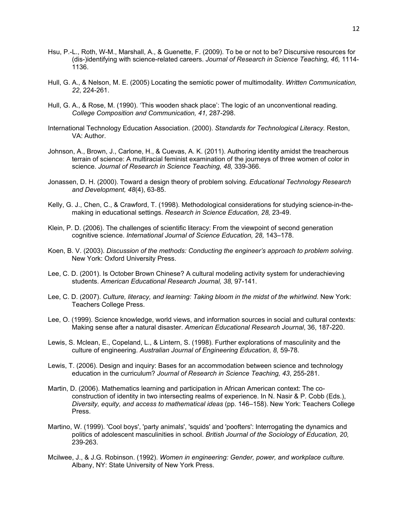- Hsu, P.-L., Roth, W-M., Marshall, A., & Guenette, F. (2009). To be or not to be? Discursive resources for (dis-)identifying with science-related careers. *Journal of Research in Science Teaching, 46,* 1114- 1136.
- Hull, G. A., & Nelson, M. E. (2005) Locating the semiotic power of multimodality. *Written Communication, 22*, 224-261.
- Hull, G. A., & Rose, M. (1990). 'This wooden shack place': The logic of an unconventional reading. *College Composition and Communication, 41,* 287-298.
- International Technology Education Association. (2000). *Standards for Technological Literacy.* Reston, VA: Author.
- Johnson, A., Brown, J., Carlone, H., & Cuevas, A. K. (2011). Authoring identity amidst the treacherous terrain of science: A multiracial feminist examination of the journeys of three women of color in science. *Journal of Research in Science Teaching, 48,* 339-366.
- Jonassen, D. H. (2000). Toward a design theory of problem solving. *Educational Technology Research and Development, 48*(4), 63-85.
- Kelly, G. J., Chen, C., & Crawford, T. (1998). Methodological considerations for studying science-in-themaking in educational settings. *Research in Science Education, 28,* 23-49.
- Klein, P. D. (2006). The challenges of scientific literacy: From the viewpoint of second generation cognitive science. *International Journal of Science Education, 28,* 143–178.
- Koen, B. V. (2003). *Discussion of the methods: Conducting the engineer's approach to problem solving.* New York: Oxford University Press.
- Lee, C. D. (2001). Is October Brown Chinese? A cultural modeling activity system for underachieving students. *American Educational Research Journal, 38,* 97-141.
- Lee, C. D. (2007). *Culture, literacy, and learning: Taking bloom in the midst of the whirlwind.* New York: Teachers College Press.
- Lee, O. (1999). Science knowledge, world views, and information sources in social and cultural contexts: Making sense after a natural disaster. *American Educational Research Journal*, 36, 187-220.
- Lewis, S. Mclean, E., Copeland, L., & Lintern, S. (1998). Further explorations of masculinity and the culture of engineering. *Australian Journal of Engineering Education, 8,* 59-78.
- Lewis, T. (2006). Design and inquiry: Bases for an accommodation between science and technology education in the curriculum? *Journal of Research in Science Teaching, 43*, 255-281.
- Martin, D. (2006). Mathematics learning and participation in African American context: The coconstruction of identity in two intersecting realms of experience. In N. Nasir & P. Cobb (Eds.), *Diversity, equity, and access to mathematical ideas* (pp. 146–158). New York: Teachers College Press.
- Martino, W. (1999). 'Cool boys', 'party animals', 'squids' and 'poofters': Interrogating the dynamics and politics of adolescent masculinities in school. *British Journal of the Sociology of Education, 20,*  239-263.
- Mcilwee, J., & J.G. Robinson. (1992). *Women in engineering: Gender, power, and workplace culture.*  Albany, NY: State University of New York Press.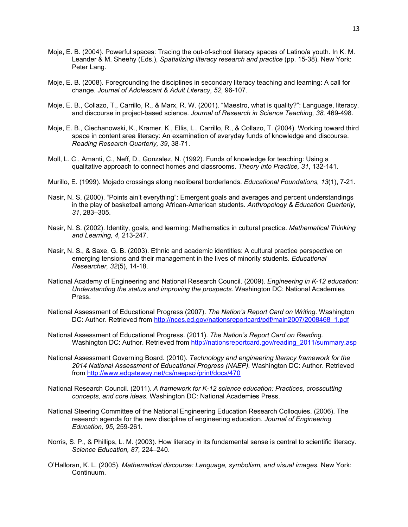- Moje, E. B. (2004). Powerful spaces: Tracing the out-of-school literacy spaces of Latino/a youth. In K. M. Leander & M. Sheehy (Eds.), *Spatializing literacy research and practice* (pp. 15-38). New York: Peter Lang.
- Moje, E. B. (2008). Foregrounding the disciplines in secondary literacy teaching and learning: A call for change. *Journal of Adolescent & Adult Literacy, 52,* 96-107.
- Moje, E. B., Collazo, T., Carrillo, R., & Marx, R. W. (2001). "Maestro, what is quality?": Language, literacy, and discourse in project-based science. *Journal of Research in Science Teaching, 38,* 469-498.
- Moje, E. B., Ciechanowski, K., Kramer, K., Ellis, L., Carrillo, R., & Collazo, T. (2004). Working toward third space in content area literacy: An examination of everyday funds of knowledge and discourse. *Reading Research Quarterly, 39*, 38-71.
- Moll, L. C., Amanti, C., Neff, D., Gonzalez, N. (1992). Funds of knowledge for teaching: Using a qualitative approach to connect homes and classrooms. *Theory into Practice, 31*, 132-141.
- Murillo, E. (1999). Mojado crossings along neoliberal borderlands. *Educational Foundations, 13*(1), 7-21.
- Nasir, N. S. (2000). "Points ain't everything": Emergent goals and averages and percent understandings in the play of basketball among African-American students. *Anthropology & Education Quarterly, 31*, 283–305.
- Nasir, N. S. (2002). Identity, goals, and learning: Mathematics in cultural practice. *Mathematical Thinking and Learning, 4,* 213-247.
- Nasir, N. S., & Saxe, G. B. (2003). Ethnic and academic identities: A cultural practice perspective on emerging tensions and their management in the lives of minority students. *Educational Researcher, 32*(5), 14-18.
- National Academy of Engineering and National Research Council. (2009). *Engineering in K-12 education: Understanding the status and improving the prospects.* Washington DC: National Academies Press.
- National Assessment of Educational Progress (2007). *The Nation's Report Card on Writing.* Washington DC: Author. Retrieved from http://nces.ed.gov/nationsreportcard/pdf/main2007/2008468\_1.pdf
- National Assessment of Educational Progress. (2011). *The Nation's Report Card on Reading.*  Washington DC: Author. Retrieved from http://nationsreportcard.gov/reading 2011/summary.asp
- National Assessment Governing Board. (2010). *Technology and engineering literacy framework for the 2014 National Assessment of Educational Progress (NAEP).* Washington DC: Author. Retrieved from<http://www.edgateway.net/cs/naepsci/print/docs/470>
- National Research Council. (2011). *A framework for K-12 science education: Practices, crosscutting concepts, and core ideas.* Washington DC: National Academies Press.
- National Steering Committee of the National Engineering Education Research Colloquies. (2006). The research agenda for the new discipline of engineering education. *Journal of Engineering Education, 95,* 259-261.
- Norris, S. P., & Phillips, L. M. (2003). How literacy in its fundamental sense is central to scientific literacy. *Science Education, 87,* 224–240.
- O'Halloran, K. L. (2005). *Mathematical discourse: Language, symbolism, and visual images.* New York: Continuum.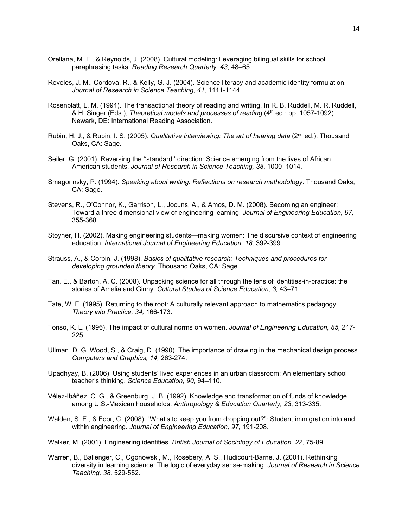- Orellana, M. F., & Reynolds, J. (2008). Cultural modeling: Leveraging bilingual skills for school paraphrasing tasks. *Reading Research Quarterly, 43*, 48–65.
- Reveles, J. M., Cordova, R., & Kelly, G. J. (2004). Science literacy and academic identity formulation. *Journal of Research in Science Teaching, 41,* 1111-1144.
- Rosenblatt, L. M. (1994). The transactional theory of reading and writing. In R. B. Ruddell, M. R. Ruddell, & H. Singer (Eds.), *Theoretical models and processes of reading* (4<sup>th</sup> ed.; pp. 1057-1092). Newark, DE: International Reading Association.
- Rubin, H. J., & Rubin, I. S. (2005). *Qualitative interviewing: The art of hearing data* (2<sup>nd</sup> ed.). Thousand Oaks, CA: Sage.
- Seiler, G. (2001). Reversing the ''standard'' direction: Science emerging from the lives of African American students. *Journal of Research in Science Teaching, 38*, 1000–1014.
- Smagorinsky, P. (1994). *Speaking about writing: Reflections on research methodology.* Thousand Oaks, CA: Sage.
- Stevens, R., O'Connor, K., Garrison, L., Jocuns, A., & Amos, D. M. (2008). Becoming an engineer: Toward a three dimensional view of engineering learning. *Journal of Engineering Education, 97,*  355-368.
- Stoyner, H. (2002). Making engineering students—making women: The discursive context of engineering education. *International Journal of Engineering Education, 18,* 392-399.
- Strauss, A., & Corbin, J. (1998). *Basics of qualitative research: Techniques and procedures for developing grounded theory.* Thousand Oaks, CA: Sage.
- Tan, E., & Barton, A. C. (2008). Unpacking science for all through the lens of identities-in-practice: the stories of Amelia and Ginny. *Cultural Studies of Science Education, 3,* 43–71.
- Tate, W. F. (1995). Returning to the root: A culturally relevant approach to mathematics pedagogy. *Theory into Practice, 34,* 166-173.
- Tonso, K. L. (1996). The impact of cultural norms on women. *Journal of Engineering Education, 85,* 217- 225.
- Ullman, D. G. Wood, S., & Craig, D. (1990). The importance of drawing in the mechanical design process. *Computers and Graphics, 14,* 263-274.
- Upadhyay, B. (2006). Using students' lived experiences in an urban classroom: An elementary school teacher's thinking. *Science Education, 90,* 94–110.
- Vélez-Ibáñez, C. G., & Greenburg, J. B. (1992). Knowledge and transformation of funds of knowledge among U.S.-Mexican households. *Anthropology & Education Quarterly, 23*, 313-335.
- Walden, S. E., & Foor, C. (2008). "What's to keep you from dropping out?": Student immigration into and within engineering. *Journal of Engineering Education, 97,* 191-208.
- Walker, M. (2001). Engineering identities. *British Journal of Sociology of Education, 22,* 75-89.
- Warren, B., Ballenger, C., Ogonowski, M., Rosebery, A. S., Hudicourt-Barne, J. (2001). Rethinking diversity in learning science: The logic of everyday sense-making. *Journal of Research in Science Teaching, 38,* 529-552.